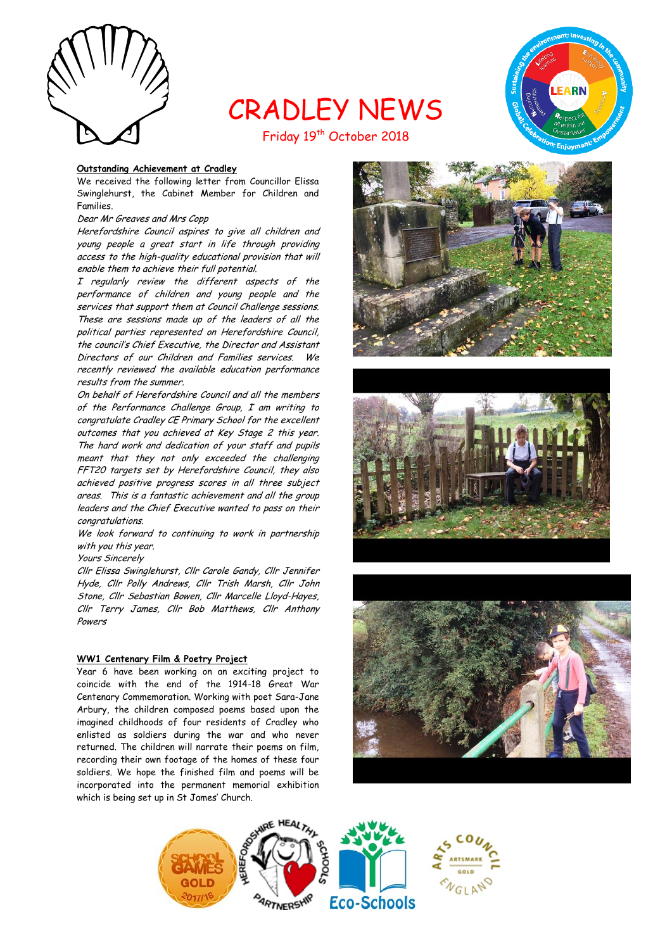

# CRADLEY NEWS



Friday 19<sup>th</sup> October 2018

#### **Outstanding Achievement at Cradley**

We received the following letter from Councillor Elissa Swinglehurst, the Cabinet Member for Children and Families.

#### Dear Mr Greaves and Mrs Copp

Herefordshire Council aspires to give all children and young people a great start in life through providing access to the high-quality educational provision that will enable them to achieve their full potential.

I regularly review the different aspects of the performance of children and young people and the services that support them at Council Challenge sessions. These are sessions made up of the leaders of all the political parties represented on Herefordshire Council, the council's Chief Executive, the Director and Assistant Directors of our Children and Families services. We recently reviewed the available education performance results from the summer.

On behalf of Herefordshire Council and all the members of the Performance Challenge Group, I am writing to congratulate Cradley CE Primary School for the excellent outcomes that you achieved at Key Stage 2 this year. The hard work and dedication of your staff and pupils meant that they not only exceeded the challenging FFT20 targets set by Herefordshire Council, they also achieved positive progress scores in all three subject areas. This is a fantastic achievement and all the group leaders and the Chief Executive wanted to pass on their congratulations.

We look forward to continuing to work in partnership with you this year.

Yours Sincerely

Cllr Elissa Swinglehurst, Cllr Carole Gandy, Cllr Jennifer Hyde, Cllr Polly Andrews, Cllr Trish Marsh, Cllr John Stone, Cllr Sebastian Bowen, Cllr Marcelle Lloyd-Hayes, Cllr Terry James, Cllr Bob Matthews, Cllr Anthony Powers

# **WW1 Centenary Film & Poetry Project**

Year 6 have been working on an exciting project to coincide with the end of the 1914-18 Great War Centenary Commemoration. Working with poet Sara-Jane Arbury, the children composed poems based upon the imagined childhoods of four residents of Cradley who enlisted as soldiers during the war and who never returned. The children will narrate their poems on film, recording their own footage of the homes of these four soldiers. We hope the finished film and poems will be incorporated into the permanent memorial exhibition which is being set up in St James' Church.







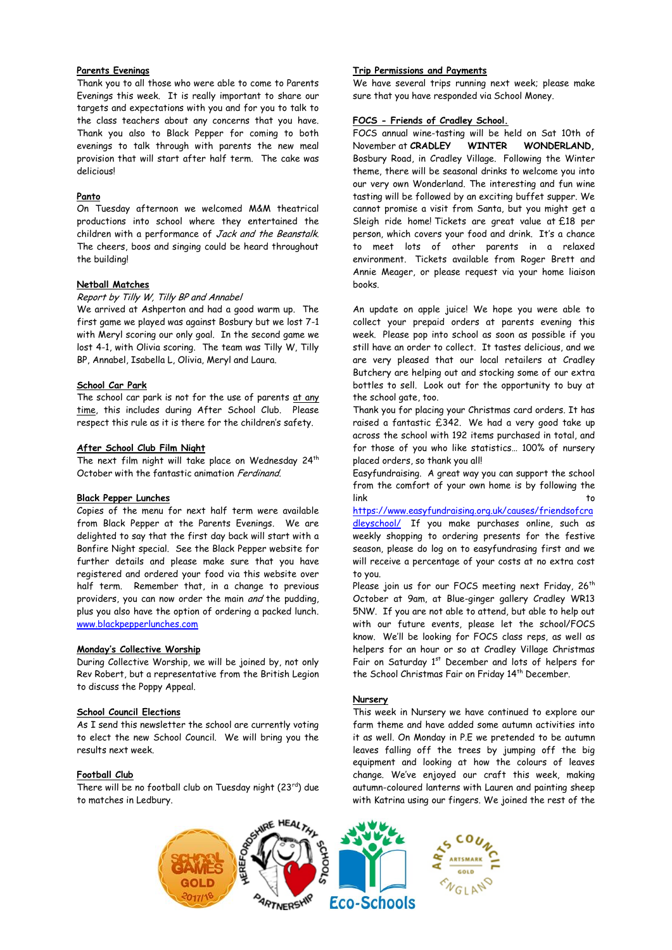# **Parents Evenings**

Thank you to all those who were able to come to Parents Evenings this week. It is really important to share our targets and expectations with you and for you to talk to the class teachers about any concerns that you have. Thank you also to Black Pepper for coming to both evenings to talk through with parents the new meal provision that will start after half term. The cake was delicious!

#### **Panto**

On Tuesday afternoon we welcomed M&M theatrical productions into school where they entertained the children with a performance of Jack and the Beanstalk. The cheers, boos and singing could be heard throughout the building!

#### **Netball Matches**

#### Report by Tilly W, Tilly BP and Annabel

We arrived at Ashperton and had a good warm up. The first game we played was against Bosbury but we lost 7-1 with Meryl scoring our only goal. In the second game we lost 4-1, with Olivia scoring. The team was Tilly W, Tilly BP, Annabel, Isabella L, Olivia, Meryl and Laura.

#### **School Car Park**

The school car park is not for the use of parents at any time, this includes during After School Club. Please respect this rule as it is there for the children's safety.

#### **After School Club Film Night**

The next film night will take place on Wednesday 24<sup>th</sup> October with the fantastic animation Ferdinand.

#### **Black Pepper Lunches**

Copies of the menu for next half term were available from Black Pepper at the Parents Evenings. We are delighted to say that the first day back will start with a Bonfire Night special. See the Black Pepper website for further details and please make sure that you have registered and ordered your food via this website over half term. Remember that, in a change to previous providers, you can now order the main and the pudding, plus you also have the option of ordering a packed lunch. [www.blackpepperlunches.com](http://www.blackpepperlunches.com/)

# **Monday's Collective Worship**

During Collective Worship, we will be joined by, not only Rev Robert, but a representative from the British Legion to discuss the Poppy Appeal.

#### **School Council Elections**

As I send this newsletter the school are currently voting to elect the new School Council. We will bring you the results next week.

#### **Football Club**

There will be no football club on Tuesday night  $(23^{rd})$  due to matches in Ledbury.

# **Trip Permissions and Payments**

We have several trips running next week; please make sure that you have responded via School Money.

#### **FOCS - Friends of Cradley School.**

FOCS annual wine-tasting will be held on Sat 10th of November at **CRADLEY WINTER WONDERLAND,**  Bosbury Road, in Cradley Village. Following the Winter theme, there will be seasonal drinks to welcome you into our very own Wonderland. The interesting and fun wine tasting will be followed by an exciting buffet supper. We cannot promise a visit from Santa, but you might get a Sleigh ride home! Tickets are great value at £18 per person, which covers your food and drink. It's a chance to meet lots of other parents in a relaxed environment. Tickets available from Roger Brett and Annie Meager, or please request via your home liaison books.

An update on apple juice! We hope you were able to collect your prepaid orders at parents evening this week. Please pop into school as soon as possible if you still have an order to collect. It tastes delicious, and we are very pleased that our local retailers at Cradley Butchery are helping out and stocking some of our extra bottles to sell. Look out for the opportunity to buy at the school gate, too.

Thank you for placing your Christmas card orders. It has raised a fantastic £342. We had a very good take up across the school with 192 items purchased in total, and for those of you who like statistics… 100% of nursery placed orders, so thank you all!

Easyfundraising. A great way you can support the school from the comfort of your own home is by following the link to

[https://www.easyfundraising.org.uk/causes/friendsofcra](https://www.easyfundraising.org.uk/causes/friendsofcradleyschool/) [dleyschool/](https://www.easyfundraising.org.uk/causes/friendsofcradleyschool/) If you make purchases online, such as weekly shopping to ordering presents for the festive season, please do log on to easyfundrasing first and we will receive a percentage of your costs at no extra cost to you.

Please join us for our FOCS meeting next Friday, 26<sup>th</sup> October at 9am, at Blue-ginger gallery Cradley WR13 5NW. If you are not able to attend, but able to help out with our future events, please let the school/FOCS know. We'll be looking for FOCS class reps, as well as helpers for an hour or so at Cradley Village Christmas Fair on Saturday 1<sup>st</sup> December and lots of helpers for the School Christmas Fair on Friday 14<sup>th</sup> December.

#### **Nursery**

This week in Nursery we have continued to explore our farm theme and have added some autumn activities into it as well. On Monday in P.E we pretended to be autumn leaves falling off the trees by jumping off the big equipment and looking at how the colours of leaves change. We've enjoyed our craft this week, making autumn-coloured lanterns with Lauren and painting sheep with Katrina using our fingers. We joined the rest of the

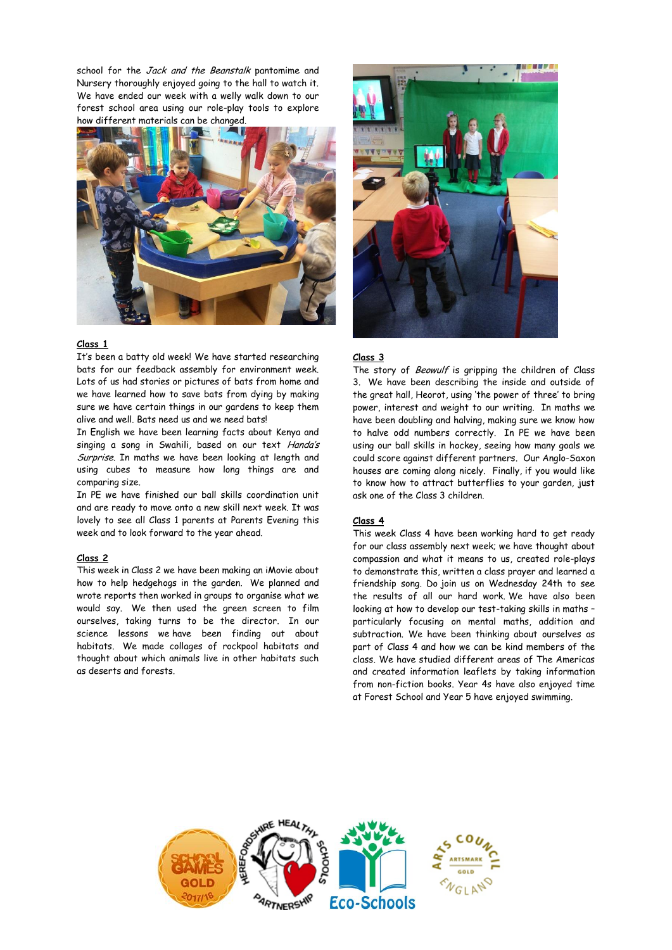school for the Jack and the Beanstalk pantomime and Nursery thoroughly enjoyed going to the hall to watch it. We have ended our week with a welly walk down to our forest school area using our role-play tools to explore how different materials can be changed.



# **Class 1**

It's been a batty old week! We have started researching bats for our feedback assembly for environment week. Lots of us had stories or pictures of bats from home and we have learned how to save bats from dying by making sure we have certain things in our gardens to keep them alive and well. Bats need us and we need bats!

In English we have been learning facts about Kenya and singing a song in Swahili, based on our text Handa's Surprise. In maths we have been looking at length and using cubes to measure how long things are and comparing size.

In PE we have finished our ball skills coordination unit and are ready to move onto a new skill next week. It was lovely to see all Class 1 parents at Parents Evening this week and to look forward to the year ahead.

#### **Class 2**

This week in Class 2 we have been making an iMovie about how to help hedgehogs in the garden. We planned and wrote reports then worked in groups to organise what we would say. We then used the green screen to film ourselves, taking turns to be the director. In our science lessons we have been finding out about habitats. We made collages of rockpool habitats and thought about which animals live in other habitats such as deserts and forests.



#### **Class 3**

The story of Beowulf is gripping the children of Class 3. We have been describing the inside and outside of the great hall, Heorot, using 'the power of three' to bring power, interest and weight to our writing. In maths we have been doubling and halving, making sure we know how to halve odd numbers correctly. In PE we have been using our ball skills in hockey, seeing how many goals we could score against different partners. Our Anglo-Saxon houses are coming along nicely. Finally, if you would like to know how to attract butterflies to your garden, just ask one of the Class 3 children.

#### **Class 4**

This week Class 4 have been working hard to get ready for our class assembly next week; we have thought about compassion and what it means to us, created role-plays to demonstrate this, written a class prayer and learned a friendship song. Do join us on Wednesday 24th to see the results of all our hard work. We have also been looking at how to develop our test-taking skills in maths – particularly focusing on mental maths, addition and subtraction. We have been thinking about ourselves as part of Class 4 and how we can be kind members of the class. We have studied different areas of The Americas and created information leaflets by taking information from non-fiction books. Year 4s have also enjoyed time at Forest School and Year 5 have enjoyed swimming.